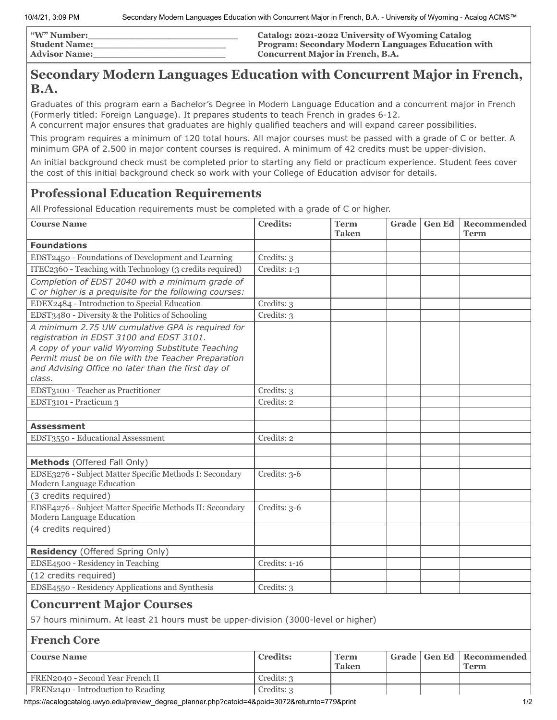| <b><i>W</i></b> " Number: | <b>Catalog: 2021-2022 University of Wyoming Catalog</b>   |
|---------------------------|-----------------------------------------------------------|
| <b>Student Name:</b>      | <b>Program: Secondary Modern Languages Education with</b> |
| <b>Advisor Name:</b>      | <b>Concurrent Major in French, B.A.</b>                   |

## **Secondary Modern Languages Education with Concurrent Major in French, B.A.**

Graduates of this program earn a Bachelor's Degree in Modern Language Education and a concurrent major in French (Formerly titled: Foreign Language). It prepares students to teach French in grades 6-12.

A concurrent major ensures that graduates are highly qualified teachers and will expand career possibilities.

This program requires a minimum of 120 total hours. All major courses must be passed with a grade of C or better. A minimum GPA of 2.500 in major content courses is required. A minimum of 42 credits must be upper-division.

An initial background check must be completed prior to starting any field or practicum experience. Student fees cover the cost of this initial background check so work with your College of Education advisor for details.

## **Professional Education Requirements**

All Professional Education requirements must be completed with a grade of C or higher.

| <b>Course Name</b>                                                                                                                                                                                                                                                      | <b>Credits:</b> | <b>Term</b><br><b>Taken</b> | Grade | <b>Gen Ed</b> | Recommended<br><b>Term</b> |
|-------------------------------------------------------------------------------------------------------------------------------------------------------------------------------------------------------------------------------------------------------------------------|-----------------|-----------------------------|-------|---------------|----------------------------|
| <b>Foundations</b>                                                                                                                                                                                                                                                      |                 |                             |       |               |                            |
| EDST2450 - Foundations of Development and Learning                                                                                                                                                                                                                      | Credits: 3      |                             |       |               |                            |
| ITEC2360 - Teaching with Technology (3 credits required)                                                                                                                                                                                                                | Credits: 1-3    |                             |       |               |                            |
| Completion of EDST 2040 with a minimum grade of                                                                                                                                                                                                                         |                 |                             |       |               |                            |
| C or higher is a prequisite for the following courses:                                                                                                                                                                                                                  |                 |                             |       |               |                            |
| EDEX2484 - Introduction to Special Education                                                                                                                                                                                                                            | Credits: 3      |                             |       |               |                            |
| EDST3480 - Diversity & the Politics of Schooling                                                                                                                                                                                                                        | Credits: 3      |                             |       |               |                            |
| A minimum 2.75 UW cumulative GPA is required for<br>registration in EDST 3100 and EDST 3101.<br>A copy of your valid Wyoming Substitute Teaching<br>Permit must be on file with the Teacher Preparation<br>and Advising Office no later than the first day of<br>class. |                 |                             |       |               |                            |
| EDST3100 - Teacher as Practitioner                                                                                                                                                                                                                                      | Credits: 3      |                             |       |               |                            |
| EDST3101 - Practicum 3                                                                                                                                                                                                                                                  | Credits: 2      |                             |       |               |                            |
|                                                                                                                                                                                                                                                                         |                 |                             |       |               |                            |
| <b>Assessment</b>                                                                                                                                                                                                                                                       |                 |                             |       |               |                            |
| EDST3550 - Educational Assessment                                                                                                                                                                                                                                       | Credits: 2      |                             |       |               |                            |
|                                                                                                                                                                                                                                                                         |                 |                             |       |               |                            |
| Methods (Offered Fall Only)                                                                                                                                                                                                                                             |                 |                             |       |               |                            |
| EDSE3276 - Subject Matter Specific Methods I: Secondary<br>Modern Language Education                                                                                                                                                                                    | Credits: 3-6    |                             |       |               |                            |
| (3 credits required)                                                                                                                                                                                                                                                    |                 |                             |       |               |                            |
| EDSE4276 - Subject Matter Specific Methods II: Secondary<br>Modern Language Education                                                                                                                                                                                   | Credits: 3-6    |                             |       |               |                            |
| (4 credits required)                                                                                                                                                                                                                                                    |                 |                             |       |               |                            |
| Residency (Offered Spring Only)                                                                                                                                                                                                                                         |                 |                             |       |               |                            |
| EDSE4500 - Residency in Teaching                                                                                                                                                                                                                                        | Credits: 1-16   |                             |       |               |                            |
| (12 credits required)                                                                                                                                                                                                                                                   |                 |                             |       |               |                            |
| EDSE4550 - Residency Applications and Synthesis                                                                                                                                                                                                                         | Credits: 3      |                             |       |               |                            |
| <b>Concurrent Major Courses</b>                                                                                                                                                                                                                                         |                 |                             |       |               |                            |
| 57 hours minimum. At least 21 hours must be upper-division (3000-level or higher)                                                                                                                                                                                       |                 |                             |       |               |                            |
| <b>French Core</b>                                                                                                                                                                                                                                                      |                 |                             |       |               |                            |
| <b>Course Name</b>                                                                                                                                                                                                                                                      | <b>Credits:</b> | <b>Term</b><br><b>Taken</b> | Grade | <b>Gen Ed</b> | Recommended<br><b>Term</b> |
| FREN2040 - Second Year French II                                                                                                                                                                                                                                        | Credits: 3      |                             |       |               |                            |

FREN2140 - Introduction to Reading Credits: 3

https://acalogcatalog.uwyo.edu/preview\_degree\_planner.php?catoid=4&poid=3072&returnto=779&print 1/2